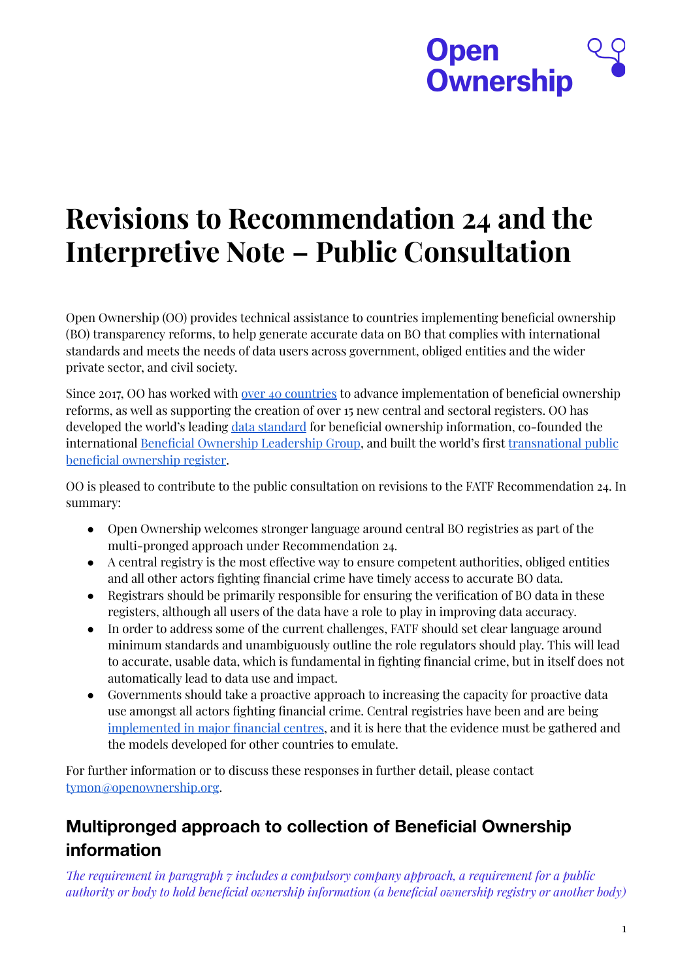# **Open Ownership**

# **Revisions to Recommendation 24 and the Interpretive Note – Public Consultation**

Open Ownership (OO) provides technical assistance to countries implementing beneficial ownership (BO) transparency reforms, to help generate accurate data on BO that complies with international standards and meets the needs of data users across government, obliged entities and the wider private sector, and civil society.

Since 2017, OO has worked with over 40 [countries](https://www.openownership.org/map/) to advance implementation of beneficial ownership reforms, as well as supporting the creation of over 15 new central and sectoral registers. OO has developed the world's leading data [standard](http://standard.openownership.org/en/0.2.0/) for beneficial ownership information, co-founded the international Beneficial Ownership [Leadership](https://www.openownership.org/what-we-do/the-beneficial-ownership-leadership-group/) Group, and built the world's first [transnational](https://register.openownership.org/) public beneficial [ownership](https://register.openownership.org/) register.

OO is pleased to contribute to the public consultation on revisions to the FATF Recommendation 24. In summary:

- Open Ownership welcomes stronger language around central BO registries as part of the multi-pronged approach under Recommendation 24.
- $\bullet$  A central registry is the most effective way to ensure competent authorities, obliged entities and all other actors fighting financial crime have timely access to accurate BO data.
- Registrars should be primarily responsible for ensuring the verification of BO data in these registers, although all users of the data have a role to play in improving data accuracy.
- In order to address some of the current challenges, FATF should set clear language around minimum standards and unambiguously outline the role regulators should play. This will lead to accurate, usable data, which is fundamental in fighting financial crime, but in itself does not automatically lead to data use and impact.
- Governments should take a proactive approach to increasing the capacity for proactive data use amongst all actors fighting financial crime. Central registries have been and are being [implemented](https://www.openownership.org/map/) in major financial centres, and it is here that the evidence must be gathered and the models developed for other countries to emulate.

For further information or to discuss these responses in further detail, please contact [tymon@openownership.org](mailto:tymon@openownership.org).

# **Multipronged approach to collection of Beneficial Ownership information**

*e requirement in paragraph 7 includes a compulsory company approach, a requirement for a public authority or body to hold beneficial ownership information (a beneficial ownership registry or another body)*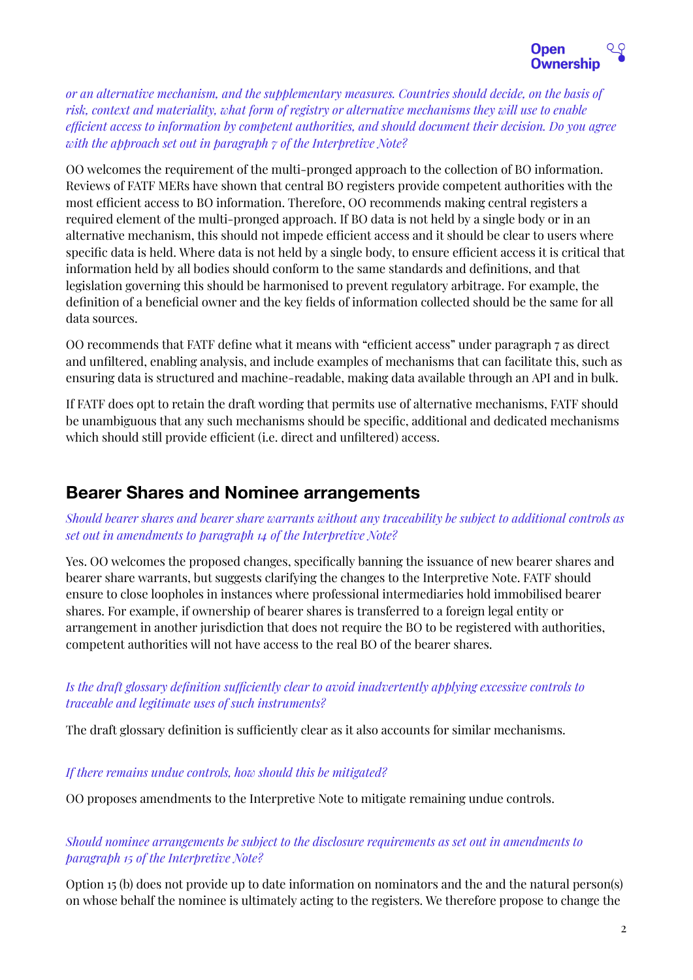

*or an alternative mechanism, and the supplementary measures. Countries should decide, on the basis of risk, context and materiality, what form of registry or alternative mechanisms they will use to enable ecient access to information by competent authorities, and should document their decision. Do you agree with the approach set out in paragraph 7 of the Interpretive Note?*

OO welcomes the requirement of the multi-pronged approach to the collection of BO information. Reviews of FATF MERs have shown that central BO registers provide competent authorities with the most efficient access to BO information. Therefore, OO recommends making central registers a required element of the multi-pronged approach. If BO data is not held by a single body or in an alternative mechanism, this should not impede efficient access and it should be clear to users where specific data is held. Where data is not held by a single body, to ensure efficient access it is critical that information held by all bodies should conform to the same standards and definitions, and that legislation governing this should be harmonised to prevent regulatory arbitrage. For example, the definition of a beneficial owner and the key fields of information collected should be the same for all data sources.

OO recommends that FATF define what it means with "ecient access" under paragraph 7 as direct and unfiltered, enabling analysis, and include examples of mechanisms that can facilitate this, such as ensuring data is structured and machine-readable, making data available through an API and in bulk.

If FATF does opt to retain the draft wording that permits use of alternative mechanisms, FATF should be unambiguous that any such mechanisms should be specific, additional and dedicated mechanisms which should still provide efficient (i.e. direct and unfiltered) access.

# **Bearer Shares and Nominee arrangements**

*Should bearer shares and bearer share warrants without any traceability be subject to additional controls as set out in amendments to paragraph 14 of the Interpretive Note?*

Yes. OO welcomes the proposed changes, specifically banning the issuance of new bearer shares and bearer share warrants, but suggests clarifying the changes to the Interpretive Note. FATF should ensure to close loopholes in instances where professional intermediaries hold immobilised bearer shares. For example, if ownership of bearer shares is transferred to a foreign legal entity or arrangement in another jurisdiction that does not require the BO to be registered with authorities, competent authorities will not have access to the real BO of the bearer shares.

# *Is the draft glossary definition suciently clear to avoid inadvertently applying excessive controls to traceable and legitimate uses of such instruments?*

The draft glossary definition is sufficiently clear as it also accounts for similar mechanisms.

## *If there remains undue controls, how should this be mitigated?*

OO proposes amendments to the Interpretive Note to mitigate remaining undue controls.

# *Should nominee arrangements be subject to the disclosure requirements as set out in amendments to paragraph 15 of the Interpretive Note?*

Option 15 (b) does not provide up to date information on nominators and the and the natural person(s) on whose behalf the nominee is ultimately acting to the registers. We therefore propose to change the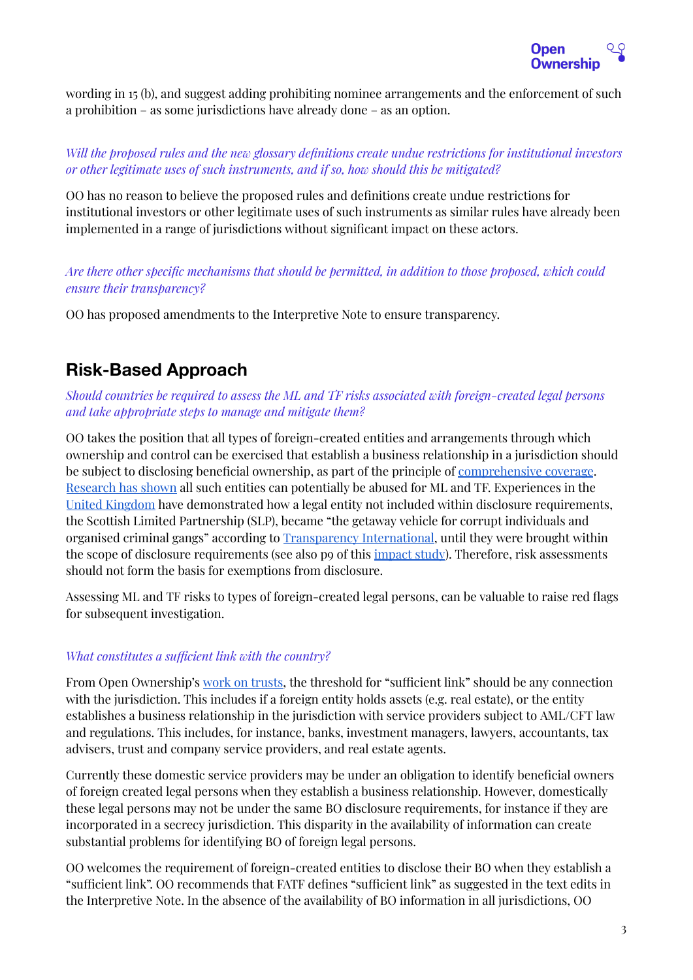

wording in 15 (b), and suggest adding prohibiting nominee arrangements and the enforcement of such a prohibition – as some jurisdictions have already done – as an option.

# *Will the proposed rules and the new glossary definitions create undue restrictions for institutional investors or other legitimate uses of such instruments, and if so, how should this be mitigated?*

OO has no reason to believe the proposed rules and definitions create undue restrictions for institutional investors or other legitimate uses of such instruments as similar rules have already been implemented in a range of jurisdictions without significant impact on these actors.

# *Are there other specific mechanisms that should be permitted, in addition to those proposed, which could ensure their transparency?*

OO has proposed amendments to the Interpretive Note to ensure transparency.

# **Risk-Based Approach**

*Should countries be required to assess the ML and TF risks associated with foreign-created legal persons and take appropriate steps to manage and mitigate them?*

OO takes the position that all types of foreign-created entities and arrangements through which ownership and control can be exercised that establish a business relationship in a jurisdiction should be subject to disclosing beneficial ownership, as part of the principle of [comprehensive](https://www.openownership.org/principles/comprehensive-coverage/) coverage. [Research](https://www.transparency.org.uk/sites/default/files/pdf/publications/2016CorruptionOnYourDoorstepWeb.pdf) has shown all such entities can potentially be abused for ML and TF. Experiences in the United [Kingdom](https://www.openownership.org/uploads/OO%20Impact%20Story%20UK.pdf) have demonstrated how a legal entity not included within disclosure requirements, the Scottish Limited Partnership (SLP), became "the getaway vehicle for corrupt individuals and organised criminal gangs" according to [Transparency](https://www.transparency.org.uk/uk-companies-heart-29-billion-money-laundering-circle) International, until they were brought within the scope of disclosure requirements (see also p9 of this [impact](https://www.openownership.org/uploads/OO%20Impact%20Story%20UK.pdf) study). Therefore, risk assessments should not form the basis for exemptions from disclosure.

Assessing ML and TF risks to types of foreign-created legal persons, can be valuable to raise red flags for subsequent investigation.

## *What constitutes a sufficient link with the country?*

From Open Ownership's work on [trusts,](https://www.openownership.org/uploads/OO%20BOT%20of%20trusts%20briefing%20July%202021.pdf) the threshold for "sufficient link" should be any connection with the jurisdiction. This includes if a foreign entity holds assets (e.g. real estate), or the entity establishes a business relationship in the jurisdiction with service providers subject to AML/CFT law and regulations. This includes, for instance, banks, investment managers, lawyers, accountants, tax advisers, trust and company service providers, and real estate agents.

Currently these domestic service providers may be under an obligation to identify beneficial owners of foreign created legal persons when they establish a business relationship. However, domestically these legal persons may not be under the same BO disclosure requirements, for instance if they are incorporated in a secrecy jurisdiction. This disparity in the availability of information can create substantial problems for identifying BO of foreign legal persons.

OO welcomes the requirement of foreign-created entities to disclose their BO when they establish a "sucient link". OO recommends that FATF defines "sucient link" as suggested in the text edits in the Interpretive Note. In the absence of the availability of BO information in all jurisdictions, OO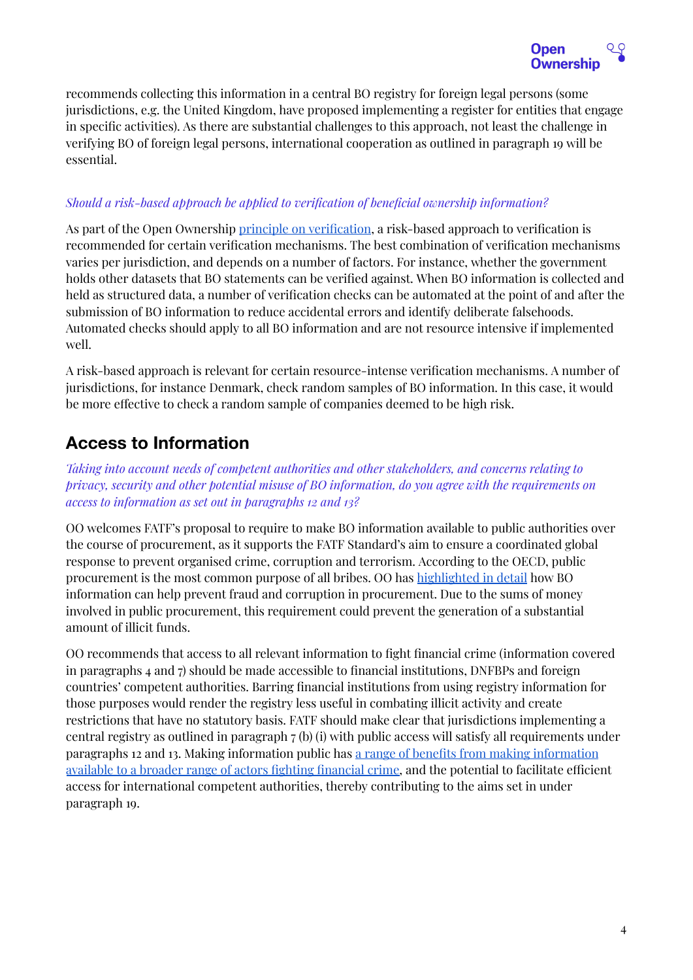

recommends collecting this information in a central BO registry for foreign legal persons (some jurisdictions, e.g. the United Kingdom, have proposed implementing a register for entities that engage in specific activities). As there are substantial challenges to this approach, not least the challenge in verifying BO of foreign legal persons, international cooperation as outlined in paragraph 19 will be essential.

# *Should a risk-based approach be applied to verification of beneficial ownership information?*

As part of the Open Ownership principle on [verification](https://www.openownership.org/principles/verification/), a risk-based approach to verification is recommended for certain verification mechanisms. The best combination of verification mechanisms varies per jurisdiction, and depends on a number of factors. For instance, whether the government holds other datasets that BO statements can be verified against. When BO information is collected and held as structured data, a number of verification checks can be automated at the point of and after the submission of BO information to reduce accidental errors and identify deliberate falsehoods. Automated checks should apply to all BO information and are not resource intensive if implemented well.

A risk-based approach is relevant for certain resource-intense verification mechanisms. A number of jurisdictions, for instance Denmark, check random samples of BO information. In this case, it would be more effective to check a random sample of companies deemed to be high risk.

# **Access to Information**

*Taking into account needs of competent authorities and other stakeholders, and concerns relating to privacy, security and other potential misuse of BO information, do you agree with the requirements on access to information as set out in paragraphs 12 and 13?*

OO welcomes FATF's proposal to require to make BO information available to public authorities over the course of procurement, as it supports the FATF Standard's aim to ensure a coordinated global response to prevent organised crime, corruption and terrorism. According to the OECD, public procurement is the most common purpose of all bribes. OO has [highlighted](https://www.openownership.org/uploads/OO%20BO%20Data%20in%20Procurement.pdf) in detail how BO information can help prevent fraud and corruption in procurement. Due to the sums of money involved in public procurement, this requirement could prevent the generation of a substantial amount of illicit funds.

OO recommends that access to all relevant information to fight financial crime (information covered in paragraphs 4 and 7) should be made accessible to financial institutions, DNFBPs and foreign countries' competent authorities. Barring financial institutions from using registry information for those purposes would render the registry less useful in combating illicit activity and create restrictions that have no statutory basis. FATF should make clear that jurisdictions implementing a central registry as outlined in paragraph 7 (b) (i) with public access will satisfy all requirements under paragraphs 12 and 13. Making information public has a range of benefits from making [information](https://www.openownership.org/uploads/OO%20Public%20Access%20Briefing.pdf) available to a broader range of actors fighting [financial](https://www.openownership.org/uploads/OO%20Public%20Access%20Briefing.pdf) crime, and the potential to facilitate efficient access for international competent authorities, thereby contributing to the aims set in under paragraph 19.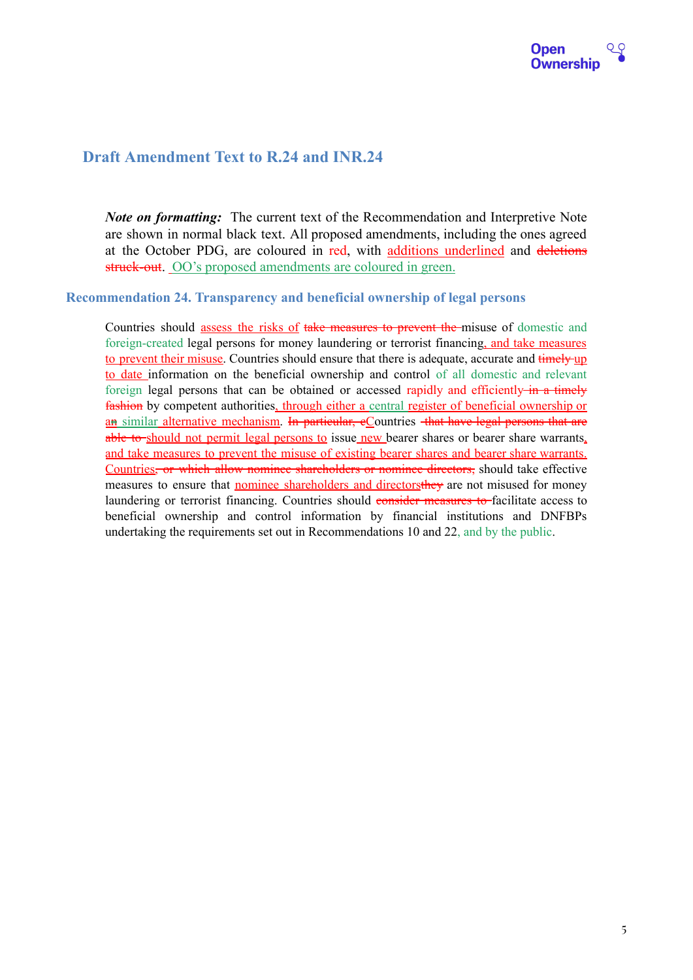

# **Draft Amendment Text to R.24 and INR.24**

*Note on formatting:* The current text of the Recommendation and Interpretive Note are shown in normal black text. All proposed amendments, including the ones agreed at the October PDG, are coloured in red, with additions underlined and deletions struck-out. OO's proposed amendments are coloured in green.

#### **Recommendation 24. Transparency and beneficial ownership of legal persons**

Countries should assess the risks of take measures to prevent the misuse of domestic and foreign-created legal persons for money laundering or terrorist financing, and take measures to prevent their misuse. Countries should ensure that there is adequate, accurate and timely up to date information on the beneficial ownership and control of all domestic and relevant foreign legal persons that can be obtained or accessed rapidly and efficiently in a timely fashion by competent authorities, through either a central register of beneficial ownership or an similar alternative mechanism. In particular, eCountries that have legal persons that are able to should not permit legal persons to issue new bearer shares or bearer share warrants, and take measures to prevent the misuse of existing bearer shares and bearer share warrants. Countries, or which allow nominee shareholders or nominee directors, should take effective measures to ensure that nominee shareholders and directors they are not misused for money laundering or terrorist financing. Countries should consider measures to facilitate access to beneficial ownership and control information by financial institutions and DNFBPs undertaking the requirements set out in Recommendations 10 and 22, and by the public.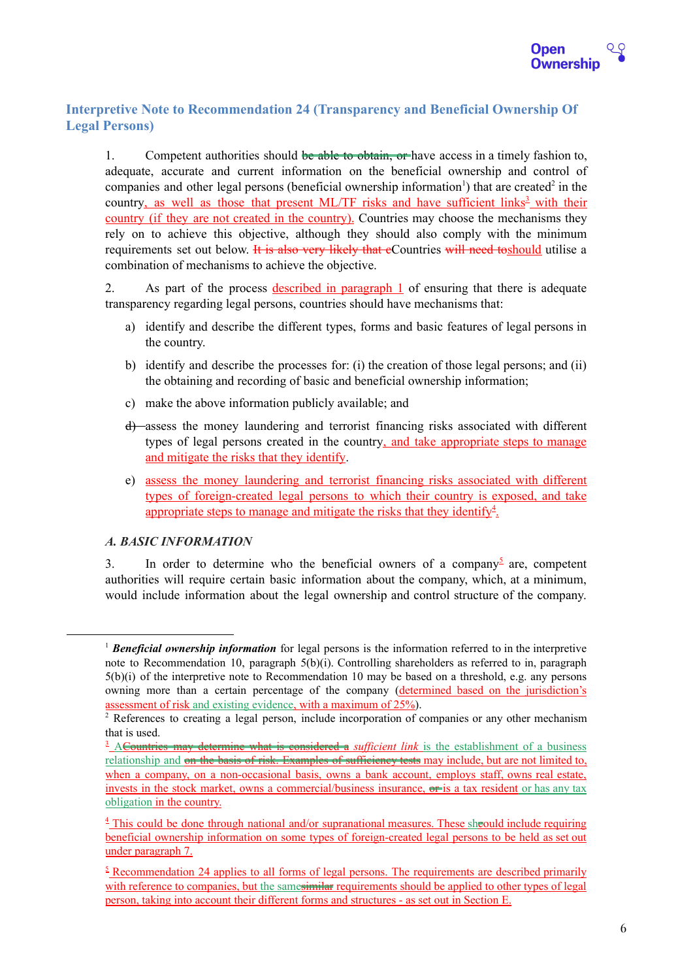# **Interpretive Note to Recommendation 24 (Transparency and Beneficial Ownership Of Legal Persons)**

1. Competent authorities should be able to obtain, or have access in a timely fashion to, adequate, accurate and current information on the beneficial ownership and control of companies and other legal persons (beneficial ownership information<sup>1</sup>) that are created<sup>2</sup> in the country, as well as those that present ML/TF risks and have sufficient links<sup>3</sup> with their country (if they are not created in the country). Countries may choose the mechanisms they rely on to achieve this objective, although they should also comply with the minimum requirements set out below. It is also very likely that eCountries will need to should utilise a combination of mechanisms to achieve the objective.

2. As part of the process described in paragraph 1 of ensuring that there is adequate transparency regarding legal persons, countries should have mechanisms that:

- a) identify and describe the different types, forms and basic features of legal persons in the country.
- b) identify and describe the processes for: (i) the creation of those legal persons; and (ii) the obtaining and recording of basic and beneficial ownership information;
- c) make the above information publicly available; and
- d) assess the money laundering and terrorist financing risks associated with different types of legal persons created in the country, and take appropriate steps to manage and mitigate the risks that they identify.
- e) assess the money laundering and terrorist financing risks associated with different types of foreign-created legal persons to which their country is exposed, and take appropriate steps to manage and mitigate the risks that they identify<sup>4</sup>.

## *A. BASIC INFORMATION*

3. In order to determine who the beneficial owners of a company<sup>5</sup> are, competent authorities will require certain basic information about the company, which, at a minimum, would include information about the legal ownership and control structure of the company.

<sup>1</sup> *Beneficial ownership information* for legal persons is the information referred to in the interpretive note to Recommendation 10, paragraph 5(b)(i). Controlling shareholders as referred to in, paragraph 5(b)(i) of the interpretive note to Recommendation 10 may be based on a threshold, e.g. any persons owning more than a certain percentage of the company (determined based on the jurisdiction's assessment of risk and existing evidence, with a maximum of 25%).

<sup>&</sup>lt;sup>2</sup> References to creating a legal person, include incorporation of companies or any other mechanism that is used.

<sup>&</sup>lt;sup>3</sup> ACountries may determine what is considered a *sufficient link* is the establishment of a business relationship and on the basis of risk. Examples of sufficiency tests may include, but are not limited to, when a company, on a non-occasional basis, owns a bank account, employs staff, owns real estate, invests in the stock market, owns a commercial/business insurance, or is a tax resident or has any tax obligation in the country.

<sup>&</sup>lt;sup>4</sup> This could be done through national and/or supranational measures. These should include requiring beneficial ownership information on some types of foreign-created legal persons to be held as set out under paragraph 7.

 $\frac{5}{2}$  Recommendation 24 applies to all forms of legal persons. The requirements are described primarily with reference to companies, but the samesimilar requirements should be applied to other types of legal person, taking into account their different forms and structures - as set out in Section E.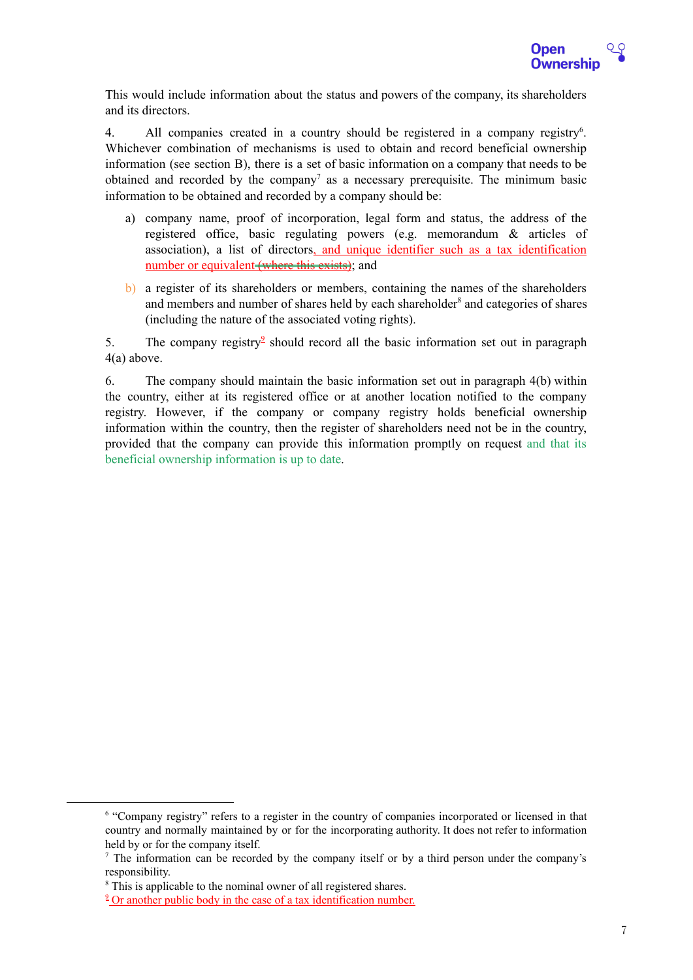

This would include information about the status and powers of the company, its shareholders and its directors.

4. All companies created in a country should be registered in a company registry<sup>6</sup>. Whichever combination of mechanisms is used to obtain and record beneficial ownership information (see section B), there is a set of basic information on a company that needs to be obtained and recorded by the company<sup>7</sup> as a necessary prerequisite. The minimum basic information to be obtained and recorded by a company should be:

- a) company name, proof of incorporation, legal form and status, the address of the registered office, basic regulating powers (e.g. memorandum & articles of association), a list of directors, and unique identifier such as a tax identification number or equivalent (where this exists); and
- b) a register of its shareholders or members, containing the names of the shareholders and members and number of shares held by each shareholder<sup>8</sup> and categories of shares (including the nature of the associated voting rights).

5. The company registry<sup>2</sup> should record all the basic information set out in paragraph 4(a) above.

6. The company should maintain the basic information set out in paragraph 4(b) within the country, either at its registered office or at another location notified to the company registry. However, if the company or company registry holds beneficial ownership information within the country, then the register of shareholders need not be in the country, provided that the company can provide this information promptly on request and that its beneficial ownership information is up to date.

<sup>6</sup> "Company registry" refers to a register in the country of companies incorporated or licensed in that country and normally maintained by or for the incorporating authority. It does not refer to information held by or for the company itself.

<sup>7</sup> The information can be recorded by the company itself or by a third person under the company's responsibility.

<sup>&</sup>lt;sup>8</sup> This is applicable to the nominal owner of all registered shares.

<sup>&</sup>lt;sup>2</sup> Or another public body in the case of a tax identification number.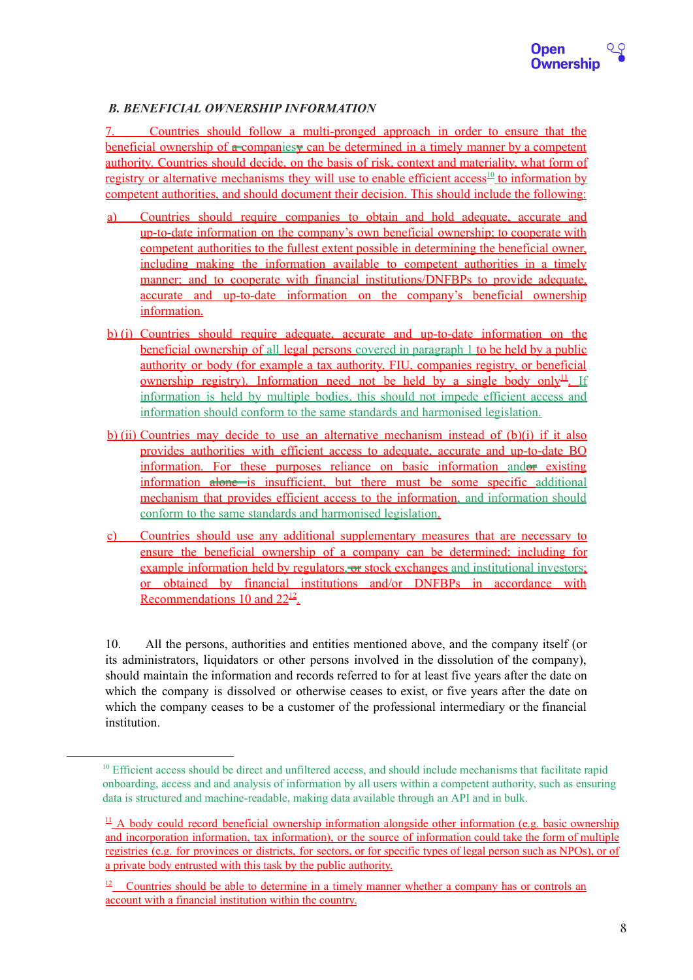## *B. BENEFICIAL OWNERSHIP INFORMATION*

7. Countries should follow a multi-pronged approach in order to ensure that the beneficial ownership of a companiesy can be determined in a timely manner by a competent authority. Countries should decide, on the basis of risk, context and materiality, what form of registry or alternative mechanisms they will use to enable efficient access<sup>10</sup> to information by competent authorities, and should document their decision. This should include the following:

- a) Countries should require companies to obtain and hold adequate, accurate and up-to-date information on the company's own beneficial ownership; to cooperate with competent authorities to the fullest extent possible in determining the beneficial owner, including making the information available to competent authorities in a timely manner; and to cooperate with financial institutions/DNFBPs to provide adequate, accurate and up-to-date information on the company's beneficial ownership information.
- b) (i) Countries should require adequate, accurate and up-to-date information on the beneficial ownership of all legal persons covered in paragraph 1 to be held by a public authority or body (for example a tax authority, FIU, companies registry, or beneficial <u>ownership registry). Information need not be held by a single body only <sup>11</sup>. If</u> information is held by multiple bodies, this should not impede efficient access and information should conform to the same standards and harmonised legislation.
- b) (ii) Countries may decide to use an alternative mechanism instead of  $(b)(i)$  if it also provides authorities with efficient access to adequate, accurate and up-to-date BO information. For these purposes reliance on basic information andor existing information alone is insufficient, but there must be some specific additional mechanism that provides efficient access to the information, and information should conform to the same standards and harmonised legislation.
- c) Countries should use any additional supplementary measures that are necessary to ensure the beneficial ownership of a company can be determined; including for example information held by regulators, or stock exchanges and institutional investors; or obtained by financial institutions and/or DNFBPs in accordance with Recommendations 10 and  $22^{12}$ .

10. All the persons, authorities and entities mentioned above, and the company itself (or its administrators, liquidators or other persons involved in the dissolution of the company), should maintain the information and records referred to for at least five years after the date on which the company is dissolved or otherwise ceases to exist, or five years after the date on which the company ceases to be a customer of the professional intermediary or the financial institution.

<sup>&</sup>lt;sup>10</sup> Efficient access should be direct and unfiltered access, and should include mechanisms that facilitate rapid onboarding, access and and analysis of information by all users within a competent authority, such as ensuring data is structured and machine-readable, making data available through an API and in bulk.

 $\perp$  A body could record beneficial ownership information alongside other information (e.g. basic ownership and incorporation information, tax information), or the source of information could take the form of multiple registries (e.g. for provinces or districts, for sectors, or for specific types of legal person such as NPOs), or of a private body entrusted with this task by the public authority.

<sup>&</sup>lt;sup>12</sup> Countries should be able to determine in a timely manner whether a company has or controls an account with a financial institution within the country.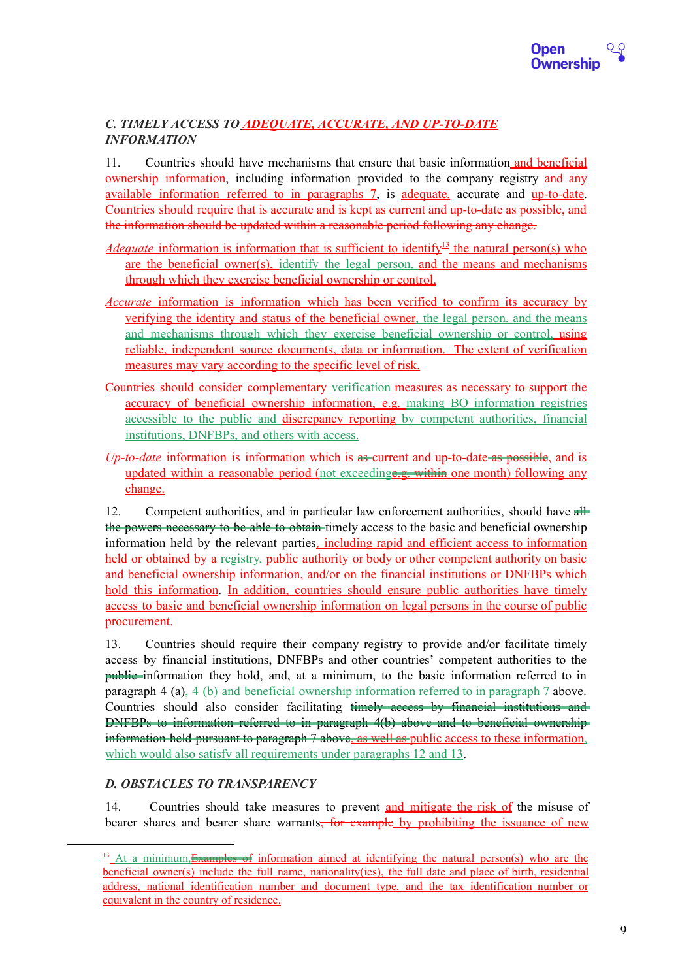

## *C. TIMELY ACCESS TO ADEQUATE, ACCURATE, AND UP-TO-DATE INFORMATION*

11. Countries should have mechanisms that ensure that basic information and beneficial ownership information, including information provided to the company registry and any available information referred to in paragraphs 7, is adequate, accurate and up-to-date. Countries should require that is accurate and is kept as current and up-to-date as possible, and the information should be updated within a reasonable period following any change.

- *Adequate* information is information that is sufficient to identify<sup>13</sup> the natural person(s) who are the beneficial owner(s), identify the legal person, and the means and mechanisms through which they exercise beneficial ownership or control.
- *Accurate* information is information which has been verified to confirm its accuracy by verifying the identity and status of the beneficial owner, the legal person, and the means and mechanisms through which they exercise beneficial ownership or control, using reliable, independent source documents, data or information. The extent of verification measures may vary according to the specific level of risk.
- Countries should consider complementary verification measures as necessary to support the accuracy of beneficial ownership information, e.g. making BO information registries accessible to the public and discrepancy reporting by competent authorities, financial institutions, DNFBPs, and others with access.
- *Up-to-date* information is information which is as current and up-to-date as possible, and is updated within a reasonable period (not exceedinge.g. within one month) following any change.

12. Competent authorities, and in particular law enforcement authorities, should have all the powers necessary to be able to obtain timely access to the basic and beneficial ownership information held by the relevant parties, including rapid and efficient access to information held or obtained by a registry, public authority or body or other competent authority on basic and beneficial ownership information, and/or on the financial institutions or DNFBPs which hold this information. In addition, countries should ensure public authorities have timely access to basic and beneficial ownership information on legal persons in the course of public procurement.

13. Countries should require their company registry to provide and/or facilitate timely access by financial institutions, DNFBPs and other countries' competent authorities to the public information they hold, and, at a minimum, to the basic information referred to in paragraph 4 (a), 4 (b) and beneficial ownership information referred to in paragraph 7 above. Countries should also consider facilitating timely access by financial institutions and DNFBPs to information referred to in paragraph 4(b) above and to beneficial ownership information held pursuant to paragraph 7 above, as well as public access to these information, which would also satisfy all requirements under paragraphs 12 and 13.

## *D. OBSTACLES TO TRANSPARENCY*

14. Countries should take measures to prevent and mitigate the risk of the misuse of bearer shares and bearer share warrants<del>, for example</del> by prohibiting the issuance of new

<sup>&</sup>lt;sup>13</sup> At a minimum, Examples of information aimed at identifying the natural person(s) who are the beneficial owner(s) include the full name, nationality(ies), the full date and place of birth, residential address, national identification number and document type, and the tax identification number or equivalent in the country of residence.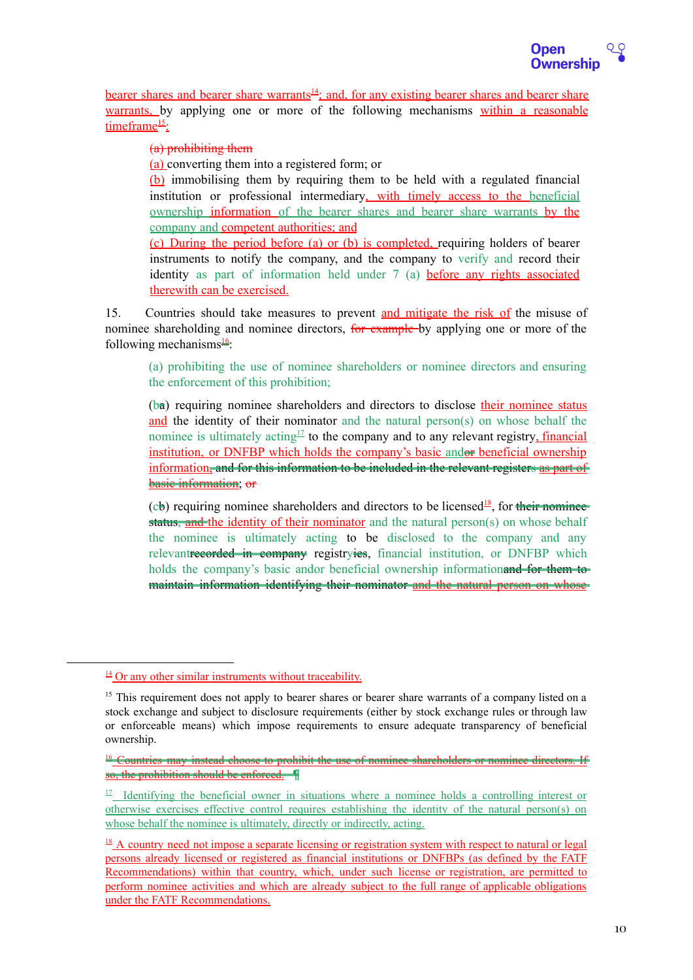

bearer shares and bearer share warrants<sup>14</sup>; and, for any existing bearer shares and bearer share warrants, by applying one or more of the following mechanisms within a reasonable timeframe<sup>15</sup>:

#### (a) prohibiting them

(a) converting them into a registered form; or

(b) immobilising them by requiring them to be held with a regulated financial institution or professional intermediary, with timely access to the beneficial ownership information of the bearer shares and bearer share warrants by the company and competent authorities; and

(c) During the period before (a) or (b) is completed, requiring holders of bearer instruments to notify the company, and the company to verify and record their identity as part of information held under 7 (a) before any rights associated therewith can be exercised.

15. Countries should take measures to prevent and mitigate the risk of the misuse of nominee shareholding and nominee directors, for example by applying one or more of the following mechanisms $\frac{16}{3}$ :

(a) prohibiting the use of nominee shareholders or nominee directors and ensuring the enforcement of this prohibition;

(ba) requiring nominee shareholders and directors to disclose their nominee status and the identity of their nominator and the natural person(s) on whose behalf the nominee is ultimately acting<sup>17</sup> to the company and to any relevant registry, *financial* institution, or DNFBP which holds the company's basic andor beneficial ownership information, and for this information to be included in the relevant registers as part of basic information; or

(cb) requiring nominee shareholders and directors to be licensed<sup>18</sup>, for their nominee status, and the identity of their nominator and the natural person(s) on whose behalf the nominee is ultimately acting to be disclosed to the company and any relevantrecorded in company registryies, financial institution, or DNFBP which holds the company's basic andor beneficial ownership information and for them to maintain information identifying their nominator and the natural person on whose

 $\frac{14}{11}$  Or any other similar instruments without traceability.

<sup>&</sup>lt;sup>15</sup> This requirement does not apply to bearer shares or bearer share warrants of a company listed on a stock exchange and subject to disclosure requirements (either by stock exchange rules or through law or enforceable means) which impose requirements to ensure adequate transparency of beneficial ownership.

<sup>&</sup>lt;sup>16</sup> Countries may instead choose to prohibit the use of nominee so, the prohibition should be enforced. ¶

<sup>&</sup>lt;sup>17</sup> Identifying the beneficial owner in situations where a nominee holds a controlling interest or otherwise exercises effective control requires establishing the identity of the natural person(s) on whose behalf the nominee is ultimately, directly or indirectly, acting.

 $18$  A country need not impose a separate licensing or registration system with respect to natural or legal persons already licensed or registered as financial institutions or DNFBPs (as defined by the FATF Recommendations) within that country, which, under such license or registration, are permitted to perform nominee activities and which are already subject to the full range of applicable obligations under the FATF Recommendations.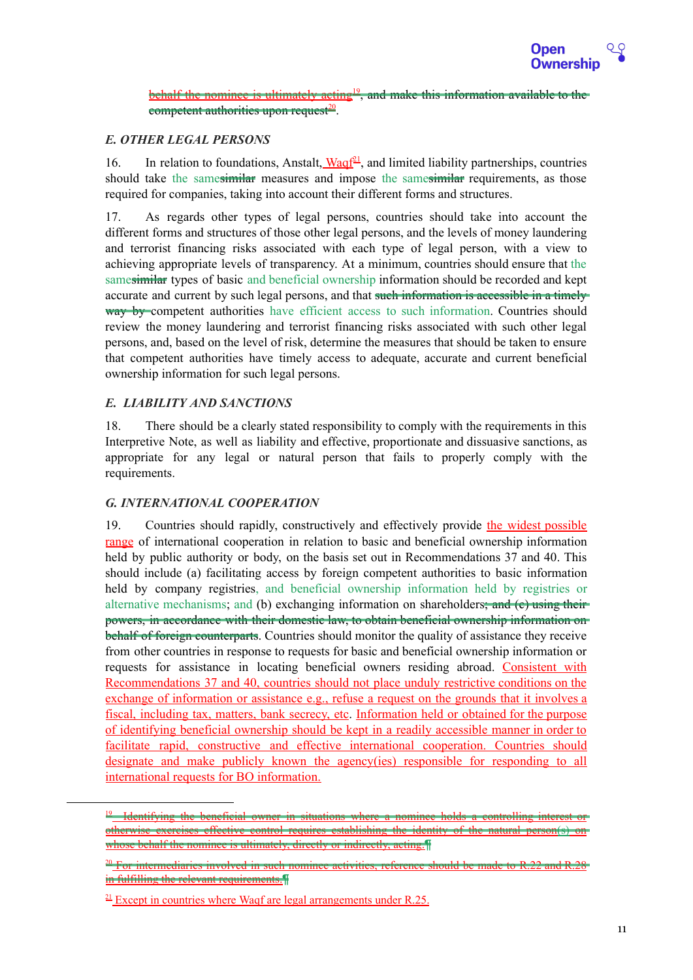

behalf the nominee is ultimately acting<sup>19</sup>, and make this information available to the competent authorities upon request<sup>20</sup>.

### *E. OTHER LEGAL PERSONS*

16. In relation to foundations, Anstalt,  $\frac{Waqf^{21}}{q}$ , and limited liability partnerships, countries should take the samesimilar measures and impose the samesimilar requirements, as those required for companies, taking into account their different forms and structures.

17. As regards other types of legal persons, countries should take into account the different forms and structures of those other legal persons, and the levels of money laundering and terrorist financing risks associated with each type of legal person, with a view to achieving appropriate levels of transparency. At a minimum, countries should ensure that the samesimilar types of basic and beneficial ownership information should be recorded and kept accurate and current by such legal persons, and that such information is accessible in a timelyway by competent authorities have efficient access to such information. Countries should review the money laundering and terrorist financing risks associated with such other legal persons, and, based on the level of risk, determine the measures that should be taken to ensure that competent authorities have timely access to adequate, accurate and current beneficial ownership information for such legal persons.

#### *E. LIABILITY AND SANCTIONS*

18. There should be a clearly stated responsibility to comply with the requirements in this Interpretive Note, as well as liability and effective, proportionate and dissuasive sanctions, as appropriate for any legal or natural person that fails to properly comply with the requirements.

#### *G. INTERNATIONAL COOPERATION*

19. Countries should rapidly, constructively and effectively provide the widest possible range of international cooperation in relation to basic and beneficial ownership information held by public authority or body, on the basis set out in Recommendations 37 and 40. This should include (a) facilitating access by foreign competent authorities to basic information held by company registries, and beneficial ownership information held by registries or alternative mechanisms; and (b) exchanging information on shareholders; and (c) using their powers, in accordance with their domestic law, to obtain beneficial ownership information on behalf of foreign counterparts. Countries should monitor the quality of assistance they receive from other countries in response to requests for basic and beneficial ownership information or requests for assistance in locating beneficial owners residing abroad. Consistent with Recommendations 37 and 40, countries should not place unduly restrictive conditions on the exchange of information or assistance e.g., refuse a request on the grounds that it involves a fiscal, including tax, matters, bank secrecy, etc. Information held or obtained for the purpose of identifying beneficial ownership should be kept in a readily accessible manner in order to facilitate rapid, constructive and effective international cooperation. Countries should designate and make publicly known the agency(ies) responsible for responding to all international requests for BO information.

situations where a nominee otherwise exercises effective control requires establishing the identity of the natural person(s) on whose behalf the nominee is ultimately, directly or indirectly, acting.

 $\frac{20}{2}$  For intermediaries involved in such nominee activities, reference should be made to R.22 in fulfilling the relevant requirements.¶

 $21$  Except in countries where Waqf are legal arrangements under R.25.